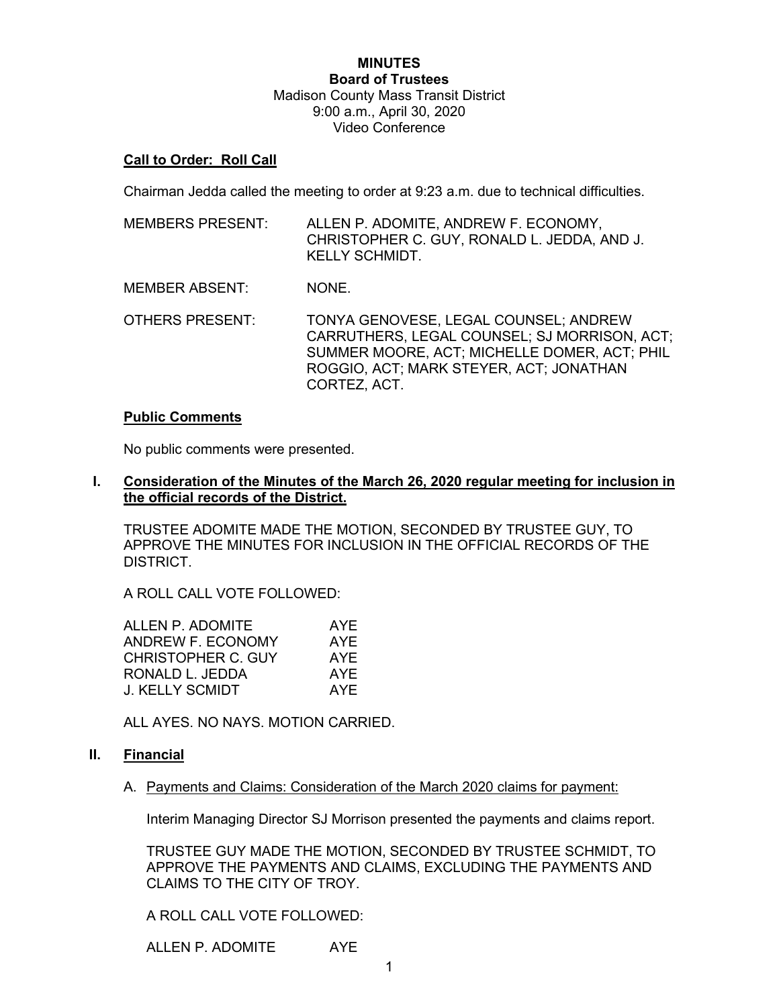## **MINUTES Board of Trustees**  Madison County Mass Transit District 9:00 a.m., April 30, 2020 Video Conference

## **Call to Order: Roll Call**

Chairman Jedda called the meeting to order at 9:23 a.m. due to technical difficulties.

- MEMBERS PRESENT: ALLEN P. ADOMITE, ANDREW F. ECONOMY, CHRISTOPHER C. GUY, RONALD L. JEDDA, AND J. KELLY SCHMIDT.
- MEMBER ABSENT: NONE.
- OTHERS PRESENT: TONYA GENOVESE, LEGAL COUNSEL; ANDREW CARRUTHERS, LEGAL COUNSEL; SJ MORRISON, ACT; SUMMER MOORE, ACT; MICHELLE DOMER, ACT; PHIL ROGGIO, ACT; MARK STEYER, ACT; JONATHAN CORTEZ, ACT.

#### **Public Comments**

No public comments were presented.

**I. Consideration of the Minutes of the March 26, 2020 regular meeting for inclusion in the official records of the District.**

TRUSTEE ADOMITE MADE THE MOTION, SECONDED BY TRUSTEE GUY, TO APPROVE THE MINUTES FOR INCLUSION IN THE OFFICIAL RECORDS OF THE DISTRICT.

A ROLL CALL VOTE FOLLOWED:

| AYE |
|-----|
| AYE |
| AYE |
| AYE |
| AYF |
|     |

ALL AYES. NO NAYS. MOTION CARRIED.

#### **II. Financial**

A. Payments and Claims: Consideration of the March 2020 claims for payment:

Interim Managing Director SJ Morrison presented the payments and claims report.

TRUSTEE GUY MADE THE MOTION, SECONDED BY TRUSTEE SCHMIDT, TO APPROVE THE PAYMENTS AND CLAIMS, EXCLUDING THE PAYMENTS AND CLAIMS TO THE CITY OF TROY.

A ROLL CALL VOTE FOLLOWED:

ALLEN P. ADOMITE AYE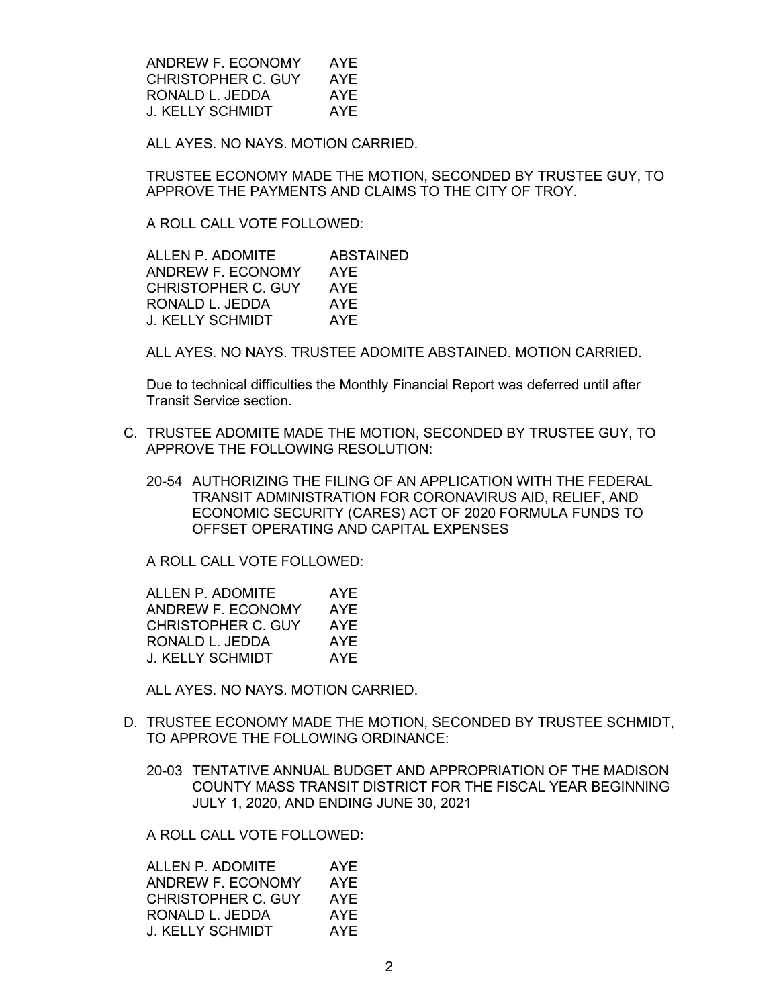ANDREW F. ECONOMY AYE CHRISTOPHER C. GUY AYE RONALD L. JEDDA AYE J. KELLY SCHMIDT AYE

ALL AYES. NO NAYS. MOTION CARRIED.

TRUSTEE ECONOMY MADE THE MOTION, SECONDED BY TRUSTEE GUY, TO APPROVE THE PAYMENTS AND CLAIMS TO THE CITY OF TROY.

A ROLL CALL VOTE FOLLOWED:

ALLEN P. ADOMITE ABSTAINED ANDREW F. ECONOMY AYE<br>CHRISTOPHER C. GUY AYE CHRISTOPHER C. GUY RONALD L. JEDDA AYE J. KELLY SCHMIDT AYE

ALL AYES. NO NAYS. TRUSTEE ADOMITE ABSTAINED. MOTION CARRIED.

Due to technical difficulties the Monthly Financial Report was deferred until after Transit Service section.

- C. TRUSTEE ADOMITE MADE THE MOTION, SECONDED BY TRUSTEE GUY, TO APPROVE THE FOLLOWING RESOLUTION:
	- 20-54 AUTHORIZING THE FILING OF AN APPLICATION WITH THE FEDERAL TRANSIT ADMINISTRATION FOR CORONAVIRUS AID, RELIEF, AND ECONOMIC SECURITY (CARES) ACT OF 2020 FORMULA FUNDS TO OFFSET OPERATING AND CAPITAL EXPENSES

A ROLL CALL VOTE FOLLOWED:

| ALLEN P. ADOMITE   |     |
|--------------------|-----|
| ANDREW F. ECONOMY  | AYE |
| CHRISTOPHER C. GUY | AYF |
| RONALD L. JEDDA    | AYF |
| J. KELLY SCHMIDT   | AYF |

ALL AYES. NO NAYS. MOTION CARRIED.

- D. TRUSTEE ECONOMY MADE THE MOTION, SECONDED BY TRUSTEE SCHMIDT, TO APPROVE THE FOLLOWING ORDINANCE:
	- 20-03 TENTATIVE ANNUAL BUDGET AND APPROPRIATION OF THE MADISON COUNTY MASS TRANSIT DISTRICT FOR THE FISCAL YEAR BEGINNING JULY 1, 2020, AND ENDING JUNE 30, 2021

A ROLL CALL VOTE FOLLOWED:

| ALLEN P. ADOMITE        | AYE |
|-------------------------|-----|
| ANDREW F. ECONOMY       | AYE |
| CHRISTOPHER C. GUY      | AYE |
| RONALD L. JEDDA         | AYE |
| <b>J. KELLY SCHMIDT</b> | AYE |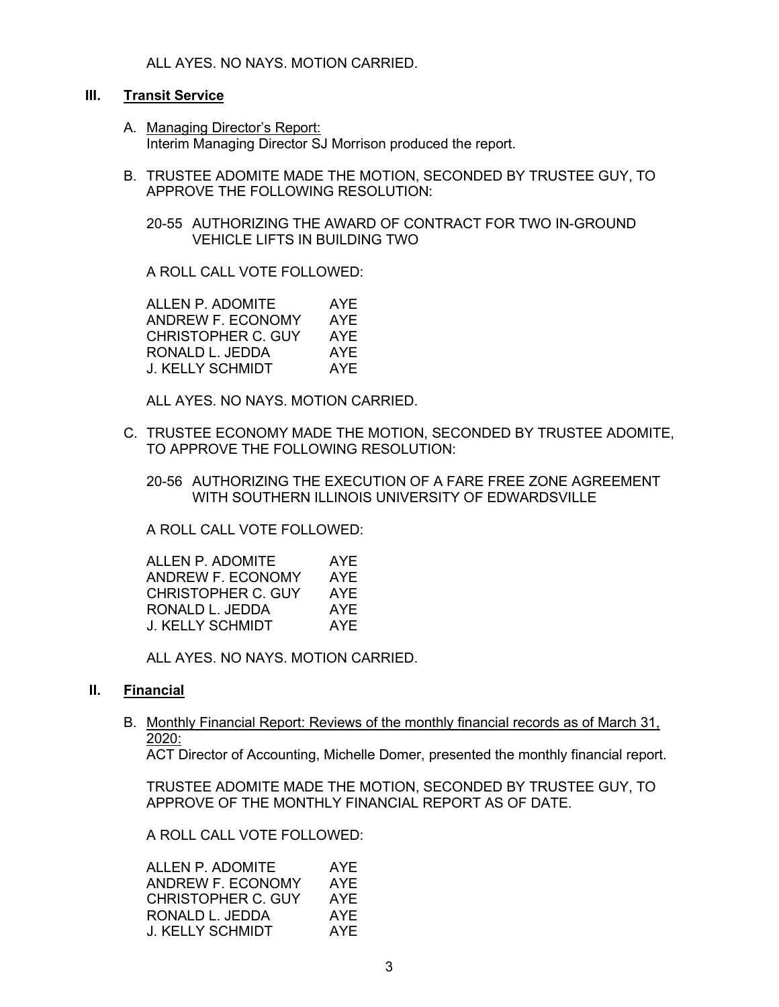ALL AYES. NO NAYS. MOTION CARRIED.

#### **III. Transit Service**

- A. Managing Director's Report: Interim Managing Director SJ Morrison produced the report.
- B. TRUSTEE ADOMITE MADE THE MOTION, SECONDED BY TRUSTEE GUY, TO APPROVE THE FOLLOWING RESOLUTION:

20-55 AUTHORIZING THE AWARD OF CONTRACT FOR TWO IN-GROUND VEHICLE LIFTS IN BUILDING TWO

A ROLL CALL VOTE FOLLOWED:

ALLEN P. ADOMITE AYE ANDREW F. ECONOMY AYE CHRISTOPHER C. GUY AYE RONALD L. JEDDA AYE J. KELLY SCHMIDT AYE

ALL AYES. NO NAYS. MOTION CARRIED.

C. TRUSTEE ECONOMY MADE THE MOTION, SECONDED BY TRUSTEE ADOMITE, TO APPROVE THE FOLLOWING RESOLUTION:

20-56 AUTHORIZING THE EXECUTION OF A FARE FREE ZONE AGREEMENT WITH SOUTHERN ILLINOIS UNIVERSITY OF EDWARDSVILLE

A ROLL CALL VOTE FOLLOWED:

ALLEN P. ADOMITE AYE ANDREW F. ECONOMY AYE CHRISTOPHER C. GUY AYE RONALD L. JEDDA AYE J. KELLY SCHMIDT AYE

ALL AYES. NO NAYS. MOTION CARRIED.

#### **II. Financial**

B. Monthly Financial Report: Reviews of the monthly financial records as of March 31, 2020:

ACT Director of Accounting, Michelle Domer, presented the monthly financial report.

TRUSTEE ADOMITE MADE THE MOTION, SECONDED BY TRUSTEE GUY, TO APPROVE OF THE MONTHLY FINANCIAL REPORT AS OF DATE.

A ROLL CALL VOTE FOLLOWED:

| ALLEN P. ADOMITE          | AYE |
|---------------------------|-----|
| <b>ANDREW F. ECONOMY</b>  | AYE |
| <b>CHRISTOPHER C. GUY</b> | AYE |
| RONALD L. JEDDA           | AYE |
| J. KELLY SCHMIDT          | AYE |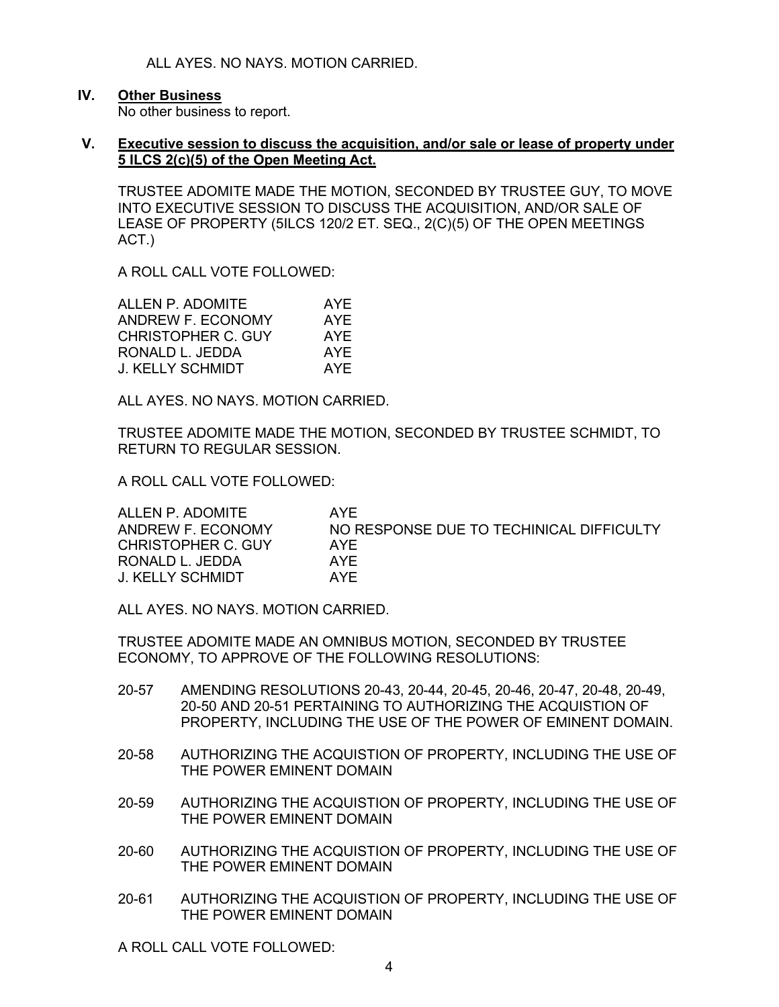ALL AYES. NO NAYS. MOTION CARRIED.

### **IV. Other Business**

No other business to report.

**V. Executive session to discuss the acquisition, and/or sale or lease of property under 5 ILCS 2(c)(5) of the Open Meeting Act.**

TRUSTEE ADOMITE MADE THE MOTION, SECONDED BY TRUSTEE GUY, TO MOVE INTO EXECUTIVE SESSION TO DISCUSS THE ACQUISITION, AND/OR SALE OF LEASE OF PROPERTY (5ILCS 120/2 ET. SEQ., 2(C)(5) OF THE OPEN MEETINGS ACT.)

A ROLL CALL VOTE FOLLOWED:

| ALLEN P. ADOMITE   | AYE |
|--------------------|-----|
| ANDREW F. ECONOMY  | AYE |
| CHRISTOPHER C. GUY | AYE |
| RONALD L. JEDDA    | AYE |
| J. KELLY SCHMIDT   | AYF |

ALL AYES. NO NAYS. MOTION CARRIED.

TRUSTEE ADOMITE MADE THE MOTION, SECONDED BY TRUSTEE SCHMIDT, TO RETURN TO REGULAR SESSION.

A ROLL CALL VOTE FOLLOWED:

| ALLEN P. ADOMITE   | AYF                                      |
|--------------------|------------------------------------------|
| ANDREW F. ECONOMY  | NO RESPONSE DUE TO TECHINICAL DIFFICULTY |
| CHRISTOPHER C. GUY | AYF                                      |
| RONALD L. JEDDA    | AYF                                      |
| J. KELLY SCHMIDT   | AYF                                      |

ALL AYES. NO NAYS. MOTION CARRIED.

TRUSTEE ADOMITE MADE AN OMNIBUS MOTION, SECONDED BY TRUSTEE ECONOMY, TO APPROVE OF THE FOLLOWING RESOLUTIONS:

- 20-57 AMENDING RESOLUTIONS 20-43, 20-44, 20-45, 20-46, 20-47, 20-48, 20-49, 20-50 AND 20-51 PERTAINING TO AUTHORIZING THE ACQUISTION OF PROPERTY, INCLUDING THE USE OF THE POWER OF EMINENT DOMAIN.
- 20-58 AUTHORIZING THE ACQUISTION OF PROPERTY, INCLUDING THE USE OF THE POWER EMINENT DOMAIN
- 20-59 AUTHORIZING THE ACQUISTION OF PROPERTY, INCLUDING THE USE OF THE POWER EMINENT DOMAIN
- 20-60 AUTHORIZING THE ACQUISTION OF PROPERTY, INCLUDING THE USE OF THE POWER EMINENT DOMAIN
- 20-61 AUTHORIZING THE ACQUISTION OF PROPERTY, INCLUDING THE USE OF THE POWER EMINENT DOMAIN

A ROLL CALL VOTE FOLLOWED: